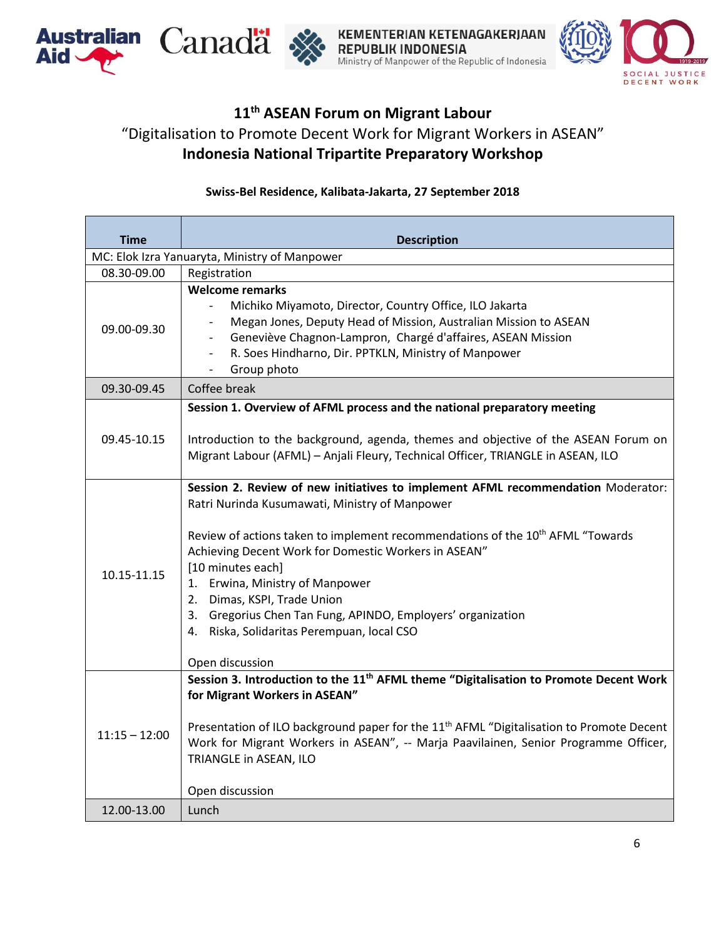





KEMENTERIAN KETENAGAKERJAAN **REPUBLIK INDONESIA** Ministry of Manpower of the Republic of Indonesia



## **11 th ASEAN Forum on Migrant Labour** "Digitalisation to Promote Decent Work for Migrant Workers in ASEAN" **Indonesia National Tripartite Preparatory Workshop**

## **Swiss-Bel Residence, Kalibata-Jakarta, 27 September 2018**

| <b>Time</b>                                   | <b>Description</b>                                                                                                                                                                                                                                                                                                                                                                                                                                                                                              |  |
|-----------------------------------------------|-----------------------------------------------------------------------------------------------------------------------------------------------------------------------------------------------------------------------------------------------------------------------------------------------------------------------------------------------------------------------------------------------------------------------------------------------------------------------------------------------------------------|--|
| MC: Elok Izra Yanuaryta, Ministry of Manpower |                                                                                                                                                                                                                                                                                                                                                                                                                                                                                                                 |  |
| 08.30-09.00                                   | Registration                                                                                                                                                                                                                                                                                                                                                                                                                                                                                                    |  |
| 09.00-09.30                                   | <b>Welcome remarks</b><br>Michiko Miyamoto, Director, Country Office, ILO Jakarta<br>$\overline{\phantom{a}}$<br>Megan Jones, Deputy Head of Mission, Australian Mission to ASEAN<br>$\overline{\phantom{0}}$<br>Geneviève Chagnon-Lampron, Chargé d'affaires, ASEAN Mission<br>$\overline{\phantom{0}}$<br>R. Soes Hindharno, Dir. PPTKLN, Ministry of Manpower<br>$\overline{\phantom{a}}$<br>Group photo<br>$\blacksquare$                                                                                   |  |
| 09.30-09.45                                   | Coffee break                                                                                                                                                                                                                                                                                                                                                                                                                                                                                                    |  |
| 09.45-10.15                                   | Session 1. Overview of AFML process and the national preparatory meeting<br>Introduction to the background, agenda, themes and objective of the ASEAN Forum on<br>Migrant Labour (AFML) - Anjali Fleury, Technical Officer, TRIANGLE in ASEAN, ILO                                                                                                                                                                                                                                                              |  |
| 10.15-11.15                                   | Session 2. Review of new initiatives to implement AFML recommendation Moderator:<br>Ratri Nurinda Kusumawati, Ministry of Manpower<br>Review of actions taken to implement recommendations of the 10 <sup>th</sup> AFML "Towards<br>Achieving Decent Work for Domestic Workers in ASEAN"<br>[10 minutes each]<br>1. Erwina, Ministry of Manpower<br>2. Dimas, KSPI, Trade Union<br>3. Gregorius Chen Tan Fung, APINDO, Employers' organization<br>4. Riska, Solidaritas Perempuan, local CSO<br>Open discussion |  |
| $11:15 - 12:00$                               | Session 3. Introduction to the 11 <sup>th</sup> AFML theme "Digitalisation to Promote Decent Work<br>for Migrant Workers in ASEAN"<br>Presentation of ILO background paper for the 11 <sup>th</sup> AFML "Digitalisation to Promote Decent<br>Work for Migrant Workers in ASEAN", -- Marja Paavilainen, Senior Programme Officer,<br>TRIANGLE in ASEAN, ILO                                                                                                                                                     |  |
| 12.00-13.00                                   | Lunch                                                                                                                                                                                                                                                                                                                                                                                                                                                                                                           |  |
|                                               | Open discussion                                                                                                                                                                                                                                                                                                                                                                                                                                                                                                 |  |